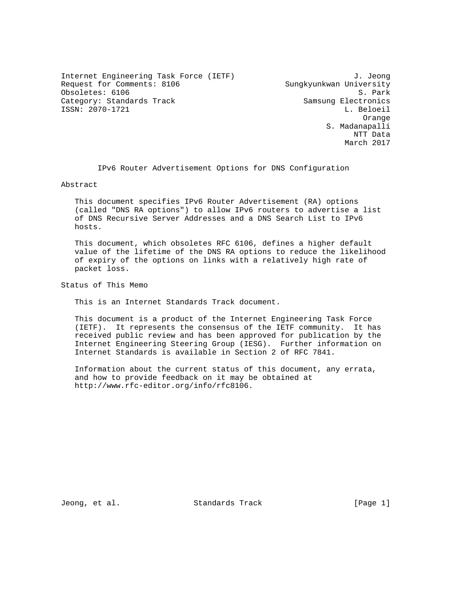Internet Engineering Task Force (IETF) 3. Jeong Request for Comments: 8106 Sungkyunkwan University Obsoletes: 6106 S. Park Category: Standards Track Samsung Electronics ISSN: 2070-1721 L. Beloeil

 Orange S. Madanapalli NTT Data March 2017

IPv6 Router Advertisement Options for DNS Configuration

Abstract

 This document specifies IPv6 Router Advertisement (RA) options (called "DNS RA options") to allow IPv6 routers to advertise a list of DNS Recursive Server Addresses and a DNS Search List to IPv6 hosts.

 This document, which obsoletes RFC 6106, defines a higher default value of the lifetime of the DNS RA options to reduce the likelihood of expiry of the options on links with a relatively high rate of packet loss.

Status of This Memo

This is an Internet Standards Track document.

 This document is a product of the Internet Engineering Task Force (IETF). It represents the consensus of the IETF community. It has received public review and has been approved for publication by the Internet Engineering Steering Group (IESG). Further information on Internet Standards is available in Section 2 of RFC 7841.

 Information about the current status of this document, any errata, and how to provide feedback on it may be obtained at http://www.rfc-editor.org/info/rfc8106.

Jeong, et al. Standards Track [Page 1]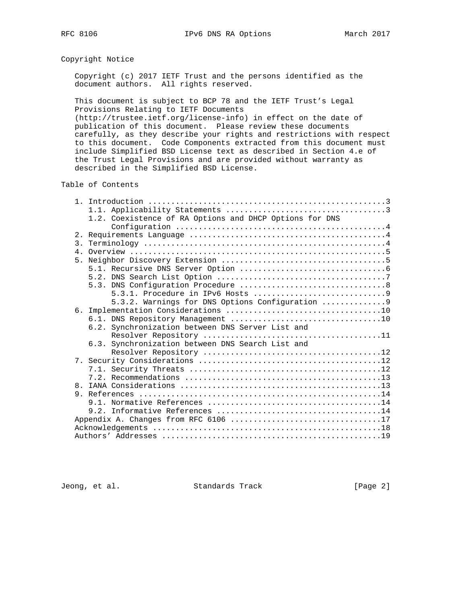# Copyright Notice

 Copyright (c) 2017 IETF Trust and the persons identified as the document authors. All rights reserved.

 This document is subject to BCP 78 and the IETF Trust's Legal Provisions Relating to IETF Documents

 (http://trustee.ietf.org/license-info) in effect on the date of publication of this document. Please review these documents carefully, as they describe your rights and restrictions with respect to this document. Code Components extracted from this document must include Simplified BSD License text as described in Section 4.e of the Trust Legal Provisions and are provided without warranty as described in the Simplified BSD License.

### Table of Contents

|     | 1.2. Coexistence of RA Options and DHCP Options for DNS |
|-----|---------------------------------------------------------|
|     |                                                         |
| 2.1 |                                                         |
|     |                                                         |
|     |                                                         |
|     |                                                         |
|     |                                                         |
|     |                                                         |
|     |                                                         |
|     |                                                         |
|     | 5.3.2. Warnings for DNS Options Configuration 9         |
|     |                                                         |
|     |                                                         |
|     | 6.2. Synchronization between DNS Server List and        |
|     |                                                         |
|     | 6.3. Synchronization between DNS Search List and        |
|     |                                                         |
|     |                                                         |
|     |                                                         |
|     |                                                         |
|     |                                                         |
|     |                                                         |
| 9.  |                                                         |
|     |                                                         |
|     |                                                         |
|     |                                                         |
|     |                                                         |
|     |                                                         |

Jeong, et al. Standards Track [Page 2]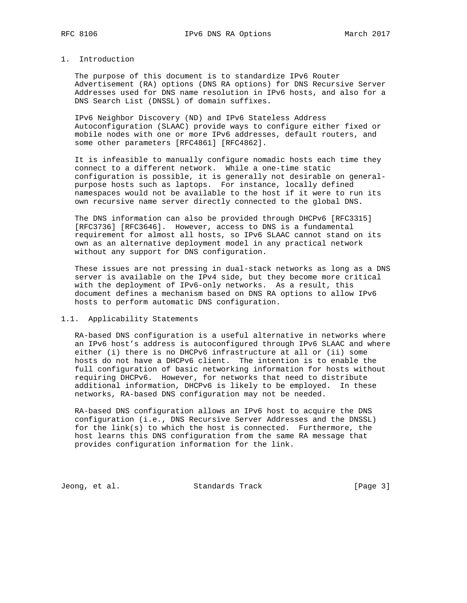### 1. Introduction

 The purpose of this document is to standardize IPv6 Router Advertisement (RA) options (DNS RA options) for DNS Recursive Server Addresses used for DNS name resolution in IPv6 hosts, and also for a DNS Search List (DNSSL) of domain suffixes.

 IPv6 Neighbor Discovery (ND) and IPv6 Stateless Address Autoconfiguration (SLAAC) provide ways to configure either fixed or mobile nodes with one or more IPv6 addresses, default routers, and some other parameters [RFC4861] [RFC4862].

 It is infeasible to manually configure nomadic hosts each time they connect to a different network. While a one-time static configuration is possible, it is generally not desirable on general purpose hosts such as laptops. For instance, locally defined namespaces would not be available to the host if it were to run its own recursive name server directly connected to the global DNS.

 The DNS information can also be provided through DHCPv6 [RFC3315] [RFC3736] [RFC3646]. However, access to DNS is a fundamental requirement for almost all hosts, so IPv6 SLAAC cannot stand on its own as an alternative deployment model in any practical network without any support for DNS configuration.

 These issues are not pressing in dual-stack networks as long as a DNS server is available on the IPv4 side, but they become more critical with the deployment of IPv6-only networks. As a result, this document defines a mechanism based on DNS RA options to allow IPv6 hosts to perform automatic DNS configuration.

# 1.1. Applicability Statements

 RA-based DNS configuration is a useful alternative in networks where an IPv6 host's address is autoconfigured through IPv6 SLAAC and where either (i) there is no DHCPv6 infrastructure at all or (ii) some hosts do not have a DHCPv6 client. The intention is to enable the full configuration of basic networking information for hosts without requiring DHCPv6. However, for networks that need to distribute additional information, DHCPv6 is likely to be employed. In these networks, RA-based DNS configuration may not be needed.

 RA-based DNS configuration allows an IPv6 host to acquire the DNS configuration (i.e., DNS Recursive Server Addresses and the DNSSL) for the link(s) to which the host is connected. Furthermore, the host learns this DNS configuration from the same RA message that provides configuration information for the link.

Jeong, et al. Standards Track [Page 3]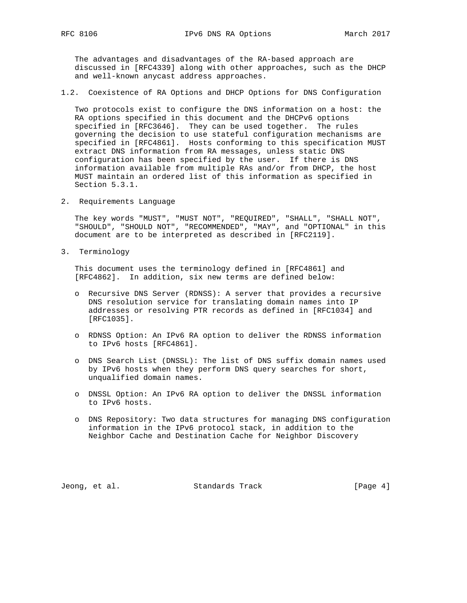The advantages and disadvantages of the RA-based approach are discussed in [RFC4339] along with other approaches, such as the DHCP and well-known anycast address approaches.

1.2. Coexistence of RA Options and DHCP Options for DNS Configuration

 Two protocols exist to configure the DNS information on a host: the RA options specified in this document and the DHCPv6 options specified in [RFC3646]. They can be used together. The rules governing the decision to use stateful configuration mechanisms are specified in [RFC4861]. Hosts conforming to this specification MUST extract DNS information from RA messages, unless static DNS configuration has been specified by the user. If there is DNS information available from multiple RAs and/or from DHCP, the host MUST maintain an ordered list of this information as specified in Section 5.3.1.

2. Requirements Language

 The key words "MUST", "MUST NOT", "REQUIRED", "SHALL", "SHALL NOT", "SHOULD", "SHOULD NOT", "RECOMMENDED", "MAY", and "OPTIONAL" in this document are to be interpreted as described in [RFC2119].

3. Terminology

 This document uses the terminology defined in [RFC4861] and [RFC4862]. In addition, six new terms are defined below:

- o Recursive DNS Server (RDNSS): A server that provides a recursive DNS resolution service for translating domain names into IP addresses or resolving PTR records as defined in [RFC1034] and [RFC1035].
- o RDNSS Option: An IPv6 RA option to deliver the RDNSS information to IPv6 hosts [RFC4861].
- o DNS Search List (DNSSL): The list of DNS suffix domain names used by IPv6 hosts when they perform DNS query searches for short, unqualified domain names.
- o DNSSL Option: An IPv6 RA option to deliver the DNSSL information to IPv6 hosts.
- o DNS Repository: Two data structures for managing DNS configuration information in the IPv6 protocol stack, in addition to the Neighbor Cache and Destination Cache for Neighbor Discovery

Jeong, et al. Standards Track [Page 4]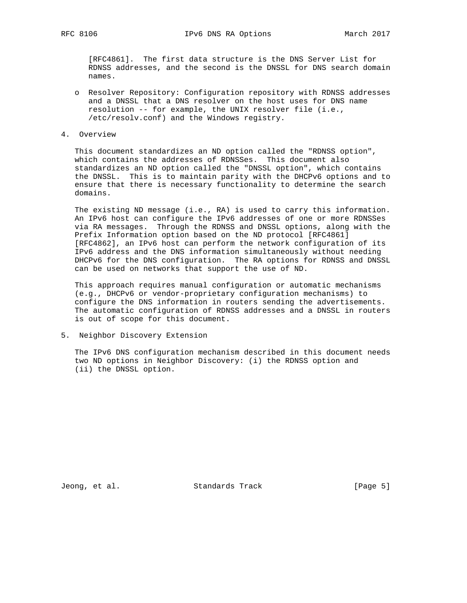[RFC4861]. The first data structure is the DNS Server List for RDNSS addresses, and the second is the DNSSL for DNS search domain names.

- o Resolver Repository: Configuration repository with RDNSS addresses and a DNSSL that a DNS resolver on the host uses for DNS name resolution -- for example, the UNIX resolver file (i.e., /etc/resolv.conf) and the Windows registry.
- 4. Overview

 This document standardizes an ND option called the "RDNSS option", which contains the addresses of RDNSSes. This document also standardizes an ND option called the "DNSSL option", which contains the DNSSL. This is to maintain parity with the DHCPv6 options and to ensure that there is necessary functionality to determine the search domains.

The existing ND message (i.e., RA) is used to carry this information. An IPv6 host can configure the IPv6 addresses of one or more RDNSSes via RA messages. Through the RDNSS and DNSSL options, along with the Prefix Information option based on the ND protocol [RFC4861] [RFC4862], an IPv6 host can perform the network configuration of its IPv6 address and the DNS information simultaneously without needing DHCPv6 for the DNS configuration. The RA options for RDNSS and DNSSL can be used on networks that support the use of ND.

 This approach requires manual configuration or automatic mechanisms (e.g., DHCPv6 or vendor-proprietary configuration mechanisms) to configure the DNS information in routers sending the advertisements. The automatic configuration of RDNSS addresses and a DNSSL in routers is out of scope for this document.

5. Neighbor Discovery Extension

 The IPv6 DNS configuration mechanism described in this document needs two ND options in Neighbor Discovery: (i) the RDNSS option and (ii) the DNSSL option.

Jeong, et al. Standards Track [Page 5]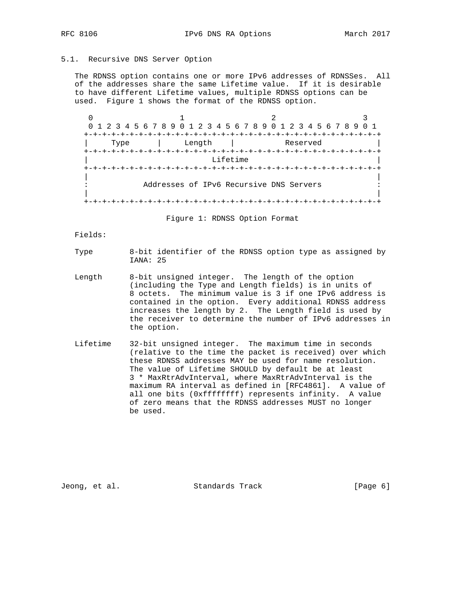# 5.1. Recursive DNS Server Option

 The RDNSS option contains one or more IPv6 addresses of RDNSSes. All of the addresses share the same Lifetime value. If it is desirable to have different Lifetime values, multiple RDNSS options can be used. Figure 1 shows the format of the RDNSS option.

 $0$  and  $1$  and  $2$  3 0 1 2 3 4 5 6 7 8 9 0 1 2 3 4 5 6 7 8 9 0 1 2 3 4 5 6 7 8 9 0 1 +-+-+-+-+-+-+-+-+-+-+-+-+-+-+-+-+-+-+-+-+-+-+-+-+-+-+-+-+-+-+-+-+ | Type | Length | Reserved | +-+-+-+-+-+-+-+-+-+-+-+-+-+-+-+-+-+-+-+-+-+-+-+-+-+-+-+-+-+-+-+-+ Lifetime +-+-+-+-+-+-+-+-+-+-+-+-+-+-+-+-+-+-+-+-+-+-+-+-+-+-+-+-+-+-+-+-+ | | Addresses of IPv6 Recursive DNS Servers | | +-+-+-+-+-+-+-+-+-+-+-+-+-+-+-+-+-+-+-+-+-+-+-+-+-+-+-+-+-+-+-+-+

Figure 1: RDNSS Option Format

Fields:

Type 8-bit identifier of the RDNSS option type as assigned by IANA: 25

- Length 8-bit unsigned integer. The length of the option (including the Type and Length fields) is in units of 8 octets. The minimum value is 3 if one IPv6 address is contained in the option. Every additional RDNSS address increases the length by 2. The Length field is used by the receiver to determine the number of IPv6 addresses in the option.
- Lifetime 32-bit unsigned integer. The maximum time in seconds (relative to the time the packet is received) over which these RDNSS addresses MAY be used for name resolution. The value of Lifetime SHOULD by default be at least 3 \* MaxRtrAdvInterval, where MaxRtrAdvInterval is the maximum RA interval as defined in [RFC4861]. A value of all one bits (0xffffffff) represents infinity. A value of zero means that the RDNSS addresses MUST no longer be used.

Jeong, et al. Standards Track [Page 6]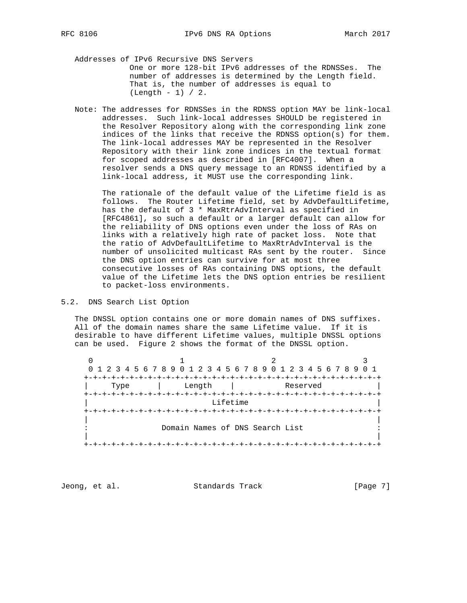Addresses of IPv6 Recursive DNS Servers One or more 128-bit IPv6 addresses of the RDNSSes. The number of addresses is determined by the Length field. That is, the number of addresses is equal to (Length - 1) / 2.

 Note: The addresses for RDNSSes in the RDNSS option MAY be link-local addresses. Such link-local addresses SHOULD be registered in the Resolver Repository along with the corresponding link zone indices of the links that receive the RDNSS option(s) for them. The link-local addresses MAY be represented in the Resolver Repository with their link zone indices in the textual format for scoped addresses as described in [RFC4007]. When a resolver sends a DNS query message to an RDNSS identified by a link-local address, it MUST use the corresponding link.

 The rationale of the default value of the Lifetime field is as follows. The Router Lifetime field, set by AdvDefaultLifetime, has the default of 3 \* MaxRtrAdvInterval as specified in [RFC4861], so such a default or a larger default can allow for the reliability of DNS options even under the loss of RAs on links with a relatively high rate of packet loss. Note that the ratio of AdvDefaultLifetime to MaxRtrAdvInterval is the number of unsolicited multicast RAs sent by the router. Since the DNS option entries can survive for at most three consecutive losses of RAs containing DNS options, the default value of the Lifetime lets the DNS option entries be resilient to packet-loss environments.

#### 5.2. DNS Search List Option

 The DNSSL option contains one or more domain names of DNS suffixes. All of the domain names share the same Lifetime value. If it is desirable to have different Lifetime values, multiple DNSSL options can be used. Figure 2 shows the format of the DNSSL option.

 $0$  and  $1$  and  $2$  3 0 1 2 3 4 5 6 7 8 9 0 1 2 3 4 5 6 7 8 9 0 1 2 3 4 5 6 7 8 9 0 1 +-+-+-+-+-+-+-+-+-+-+-+-+-+-+-+-+-+-+-+-+-+-+-+-+-+-+-+-+-+-+-+-+ | Type | Length | Reserved | +-+-+-+-+-+-+-+-+-+-+-+-+-+-+-+-+-+-+-+-+-+-+-+-+-+-+-+-+-+-+-+-+ Lifetime +-+-+-+-+-+-+-+-+-+-+-+-+-+-+-+-+-+-+-+-+-+-+-+-+-+-+-+-+-+-+-+-+ | | Domain Names of DNS Search List | | +-+-+-+-+-+-+-+-+-+-+-+-+-+-+-+-+-+-+-+-+-+-+-+-+-+-+-+-+-+-+-+-+

Jeong, et al. Standards Track [Page 7]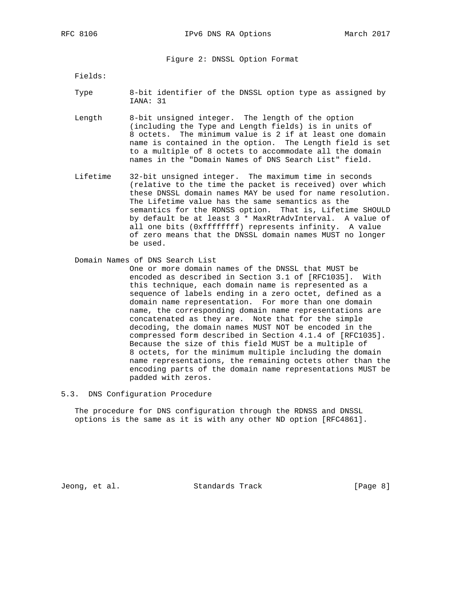Figure 2: DNSSL Option Format

Fields:

- Type 8-bit identifier of the DNSSL option type as assigned by IANA: 31
- Length 8-bit unsigned integer. The length of the option (including the Type and Length fields) is in units of 8 octets. The minimum value is 2 if at least one domain name is contained in the option. The Length field is set to a multiple of 8 octets to accommodate all the domain names in the "Domain Names of DNS Search List" field.
- Lifetime 32-bit unsigned integer. The maximum time in seconds (relative to the time the packet is received) over which these DNSSL domain names MAY be used for name resolution. The Lifetime value has the same semantics as the semantics for the RDNSS option. That is, Lifetime SHOULD by default be at least 3 \* MaxRtrAdvInterval. A value of all one bits (0xffffffff) represents infinity. A value of zero means that the DNSSL domain names MUST no longer be used.

#### Domain Names of DNS Search List

 One or more domain names of the DNSSL that MUST be encoded as described in Section 3.1 of [RFC1035]. With this technique, each domain name is represented as a sequence of labels ending in a zero octet, defined as a domain name representation. For more than one domain name, the corresponding domain name representations are concatenated as they are. Note that for the simple decoding, the domain names MUST NOT be encoded in the compressed form described in Section 4.1.4 of [RFC1035]. Because the size of this field MUST be a multiple of 8 octets, for the minimum multiple including the domain name representations, the remaining octets other than the encoding parts of the domain name representations MUST be padded with zeros.

5.3. DNS Configuration Procedure

 The procedure for DNS configuration through the RDNSS and DNSSL options is the same as it is with any other ND option [RFC4861].

Jeong, et al. Standards Track [Page 8]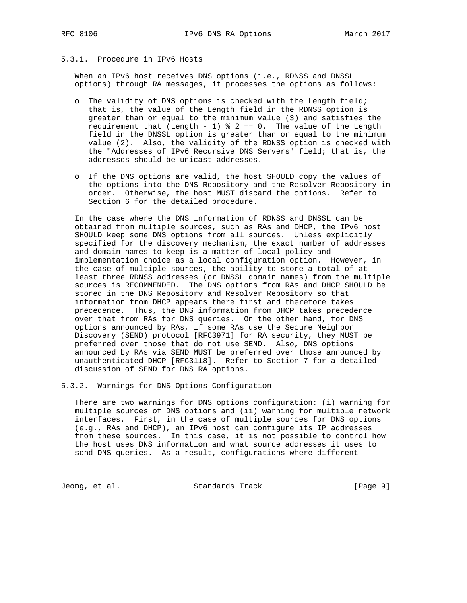# 5.3.1. Procedure in IPv6 Hosts

 When an IPv6 host receives DNS options (i.e., RDNSS and DNSSL options) through RA messages, it processes the options as follows:

- o The validity of DNS options is checked with the Length field; that is, the value of the Length field in the RDNSS option is greater than or equal to the minimum value (3) and satisfies the requirement that (Length - 1)  $%$  2 == 0. The value of the Length field in the DNSSL option is greater than or equal to the minimum value (2). Also, the validity of the RDNSS option is checked with the "Addresses of IPv6 Recursive DNS Servers" field; that is, the addresses should be unicast addresses.
- o If the DNS options are valid, the host SHOULD copy the values of the options into the DNS Repository and the Resolver Repository in order. Otherwise, the host MUST discard the options. Refer to Section 6 for the detailed procedure.

 In the case where the DNS information of RDNSS and DNSSL can be obtained from multiple sources, such as RAs and DHCP, the IPv6 host SHOULD keep some DNS options from all sources. Unless explicitly specified for the discovery mechanism, the exact number of addresses and domain names to keep is a matter of local policy and implementation choice as a local configuration option. However, in the case of multiple sources, the ability to store a total of at least three RDNSS addresses (or DNSSL domain names) from the multiple sources is RECOMMENDED. The DNS options from RAs and DHCP SHOULD be stored in the DNS Repository and Resolver Repository so that information from DHCP appears there first and therefore takes precedence. Thus, the DNS information from DHCP takes precedence over that from RAs for DNS queries. On the other hand, for DNS options announced by RAs, if some RAs use the Secure Neighbor Discovery (SEND) protocol [RFC3971] for RA security, they MUST be preferred over those that do not use SEND. Also, DNS options announced by RAs via SEND MUST be preferred over those announced by unauthenticated DHCP [RFC3118]. Refer to Section 7 for a detailed discussion of SEND for DNS RA options.

5.3.2. Warnings for DNS Options Configuration

 There are two warnings for DNS options configuration: (i) warning for multiple sources of DNS options and (ii) warning for multiple network interfaces. First, in the case of multiple sources for DNS options (e.g., RAs and DHCP), an IPv6 host can configure its IP addresses from these sources. In this case, it is not possible to control how the host uses DNS information and what source addresses it uses to send DNS queries. As a result, configurations where different

Jeong, et al. Standards Track [Page 9]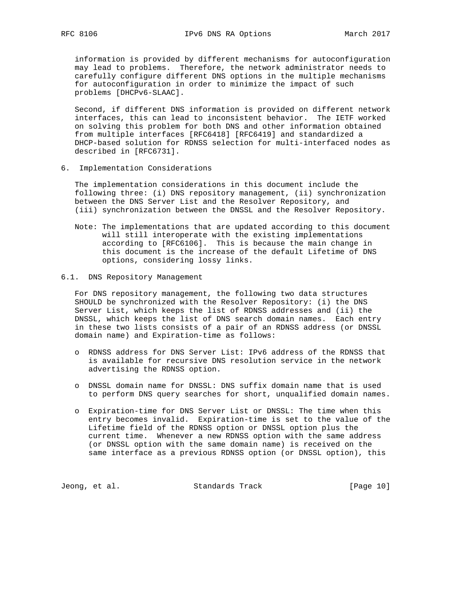information is provided by different mechanisms for autoconfiguration may lead to problems. Therefore, the network administrator needs to carefully configure different DNS options in the multiple mechanisms for autoconfiguration in order to minimize the impact of such problems [DHCPv6-SLAAC].

 Second, if different DNS information is provided on different network interfaces, this can lead to inconsistent behavior. The IETF worked on solving this problem for both DNS and other information obtained from multiple interfaces [RFC6418] [RFC6419] and standardized a DHCP-based solution for RDNSS selection for multi-interfaced nodes as described in [RFC6731].

6. Implementation Considerations

 The implementation considerations in this document include the following three: (i) DNS repository management, (ii) synchronization between the DNS Server List and the Resolver Repository, and (iii) synchronization between the DNSSL and the Resolver Repository.

- Note: The implementations that are updated according to this document will still interoperate with the existing implementations according to [RFC6106]. This is because the main change in this document is the increase of the default Lifetime of DNS options, considering lossy links.
- 6.1. DNS Repository Management

 For DNS repository management, the following two data structures SHOULD be synchronized with the Resolver Repository: (i) the DNS Server List, which keeps the list of RDNSS addresses and (ii) the DNSSL, which keeps the list of DNS search domain names. Each entry in these two lists consists of a pair of an RDNSS address (or DNSSL domain name) and Expiration-time as follows:

- o RDNSS address for DNS Server List: IPv6 address of the RDNSS that is available for recursive DNS resolution service in the network advertising the RDNSS option.
- o DNSSL domain name for DNSSL: DNS suffix domain name that is used to perform DNS query searches for short, unqualified domain names.
- o Expiration-time for DNS Server List or DNSSL: The time when this entry becomes invalid. Expiration-time is set to the value of the Lifetime field of the RDNSS option or DNSSL option plus the current time. Whenever a new RDNSS option with the same address (or DNSSL option with the same domain name) is received on the same interface as a previous RDNSS option (or DNSSL option), this

Jeong, et al. Standards Track [Page 10]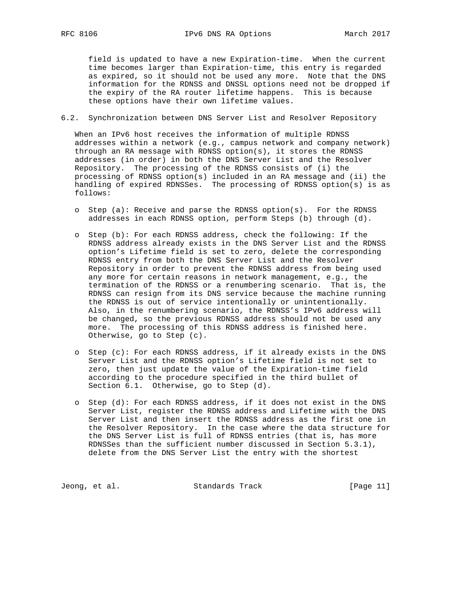field is updated to have a new Expiration-time. When the current time becomes larger than Expiration-time, this entry is regarded as expired, so it should not be used any more. Note that the DNS information for the RDNSS and DNSSL options need not be dropped if the expiry of the RA router lifetime happens. This is because these options have their own lifetime values.

6.2. Synchronization between DNS Server List and Resolver Repository

 When an IPv6 host receives the information of multiple RDNSS addresses within a network (e.g., campus network and company network) through an RA message with RDNSS option(s), it stores the RDNSS addresses (in order) in both the DNS Server List and the Resolver Repository. The processing of the RDNSS consists of (i) the processing of RDNSS option(s) included in an RA message and (ii) the handling of expired RDNSSes. The processing of RDNSS option(s) is as follows:

- o Step (a): Receive and parse the RDNSS option(s). For the RDNSS addresses in each RDNSS option, perform Steps (b) through (d).
- o Step (b): For each RDNSS address, check the following: If the RDNSS address already exists in the DNS Server List and the RDNSS option's Lifetime field is set to zero, delete the corresponding RDNSS entry from both the DNS Server List and the Resolver Repository in order to prevent the RDNSS address from being used any more for certain reasons in network management, e.g., the termination of the RDNSS or a renumbering scenario. That is, the RDNSS can resign from its DNS service because the machine running the RDNSS is out of service intentionally or unintentionally. Also, in the renumbering scenario, the RDNSS's IPv6 address will be changed, so the previous RDNSS address should not be used any more. The processing of this RDNSS address is finished here. Otherwise, go to Step (c).
- o Step (c): For each RDNSS address, if it already exists in the DNS Server List and the RDNSS option's Lifetime field is not set to zero, then just update the value of the Expiration-time field according to the procedure specified in the third bullet of Section 6.1. Otherwise, go to Step (d).
- o Step (d): For each RDNSS address, if it does not exist in the DNS Server List, register the RDNSS address and Lifetime with the DNS Server List and then insert the RDNSS address as the first one in the Resolver Repository. In the case where the data structure for the DNS Server List is full of RDNSS entries (that is, has more RDNSSes than the sufficient number discussed in Section 5.3.1), delete from the DNS Server List the entry with the shortest

Jeong, et al. Standards Track [Page 11]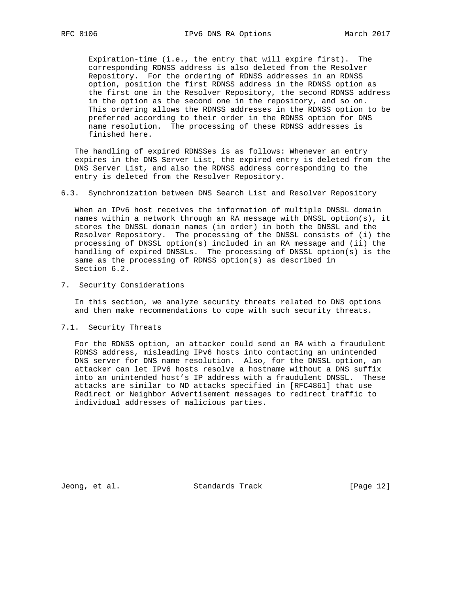Expiration-time (i.e., the entry that will expire first). The corresponding RDNSS address is also deleted from the Resolver Repository. For the ordering of RDNSS addresses in an RDNSS option, position the first RDNSS address in the RDNSS option as the first one in the Resolver Repository, the second RDNSS address in the option as the second one in the repository, and so on. This ordering allows the RDNSS addresses in the RDNSS option to be preferred according to their order in the RDNSS option for DNS name resolution. The processing of these RDNSS addresses is finished here.

 The handling of expired RDNSSes is as follows: Whenever an entry expires in the DNS Server List, the expired entry is deleted from the DNS Server List, and also the RDNSS address corresponding to the entry is deleted from the Resolver Repository.

6.3. Synchronization between DNS Search List and Resolver Repository

 When an IPv6 host receives the information of multiple DNSSL domain names within a network through an RA message with DNSSL option(s), it stores the DNSSL domain names (in order) in both the DNSSL and the Resolver Repository. The processing of the DNSSL consists of (i) the processing of DNSSL option(s) included in an RA message and (ii) the handling of expired DNSSLs. The processing of DNSSL option(s) is the same as the processing of RDNSS option(s) as described in Section 6.2.

7. Security Considerations

 In this section, we analyze security threats related to DNS options and then make recommendations to cope with such security threats.

7.1. Security Threats

 For the RDNSS option, an attacker could send an RA with a fraudulent RDNSS address, misleading IPv6 hosts into contacting an unintended DNS server for DNS name resolution. Also, for the DNSSL option, an attacker can let IPv6 hosts resolve a hostname without a DNS suffix into an unintended host's IP address with a fraudulent DNSSL. These attacks are similar to ND attacks specified in [RFC4861] that use Redirect or Neighbor Advertisement messages to redirect traffic to individual addresses of malicious parties.

Jeong, et al. Standards Track [Page 12]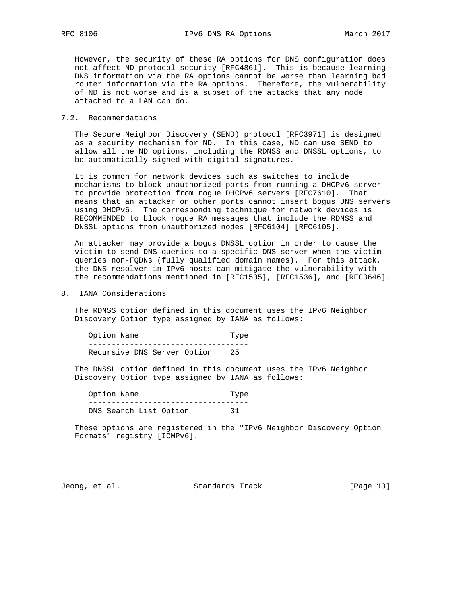However, the security of these RA options for DNS configuration does not affect ND protocol security [RFC4861]. This is because learning DNS information via the RA options cannot be worse than learning bad router information via the RA options. Therefore, the vulnerability of ND is not worse and is a subset of the attacks that any node attached to a LAN can do.

#### 7.2. Recommendations

 The Secure Neighbor Discovery (SEND) protocol [RFC3971] is designed as a security mechanism for ND. In this case, ND can use SEND to allow all the ND options, including the RDNSS and DNSSL options, to be automatically signed with digital signatures.

 It is common for network devices such as switches to include mechanisms to block unauthorized ports from running a DHCPv6 server to provide protection from rogue DHCPv6 servers [RFC7610]. That means that an attacker on other ports cannot insert bogus DNS servers using DHCPv6. The corresponding technique for network devices is RECOMMENDED to block rogue RA messages that include the RDNSS and DNSSL options from unauthorized nodes [RFC6104] [RFC6105].

 An attacker may provide a bogus DNSSL option in order to cause the victim to send DNS queries to a specific DNS server when the victim queries non-FQDNs (fully qualified domain names). For this attack, the DNS resolver in IPv6 hosts can mitigate the vulnerability with the recommendations mentioned in [RFC1535], [RFC1536], and [RFC3646].

8. IANA Considerations

 The RDNSS option defined in this document uses the IPv6 Neighbor Discovery Option type assigned by IANA as follows:

Option Name Type ----------------------------------- Recursive DNS Server Option 25

 The DNSSL option defined in this document uses the IPv6 Neighbor Discovery Option type assigned by IANA as follows:

 Option Name Type ----------------------------------- DNS Search List Option 31

 These options are registered in the "IPv6 Neighbor Discovery Option Formats" registry [ICMPv6].

Jeong, et al. Standards Track [Page 13]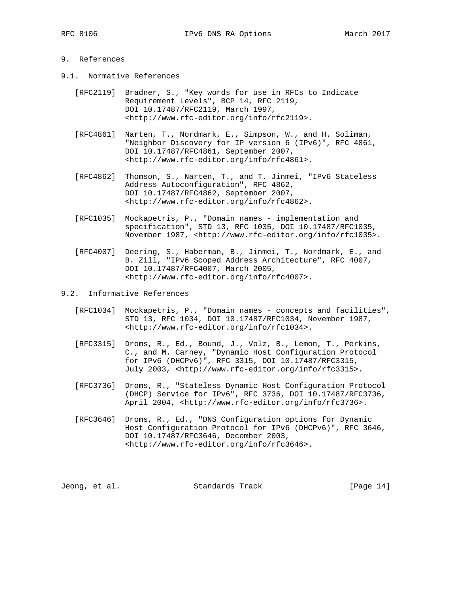# 9. References

- 9.1. Normative References
	- [RFC2119] Bradner, S., "Key words for use in RFCs to Indicate Requirement Levels", BCP 14, RFC 2119, DOI 10.17487/RFC2119, March 1997, <http://www.rfc-editor.org/info/rfc2119>.
	- [RFC4861] Narten, T., Nordmark, E., Simpson, W., and H. Soliman, "Neighbor Discovery for IP version 6 (IPv6)", RFC 4861, DOI 10.17487/RFC4861, September 2007, <http://www.rfc-editor.org/info/rfc4861>.
	- [RFC4862] Thomson, S., Narten, T., and T. Jinmei, "IPv6 Stateless Address Autoconfiguration", RFC 4862, DOI 10.17487/RFC4862, September 2007, <http://www.rfc-editor.org/info/rfc4862>.
	- [RFC1035] Mockapetris, P., "Domain names implementation and specification", STD 13, RFC 1035, DOI 10.17487/RFC1035, November 1987, <http://www.rfc-editor.org/info/rfc1035>.
	- [RFC4007] Deering, S., Haberman, B., Jinmei, T., Nordmark, E., and B. Zill, "IPv6 Scoped Address Architecture", RFC 4007, DOI 10.17487/RFC4007, March 2005, <http://www.rfc-editor.org/info/rfc4007>.
- 9.2. Informative References
	- [RFC1034] Mockapetris, P., "Domain names concepts and facilities", STD 13, RFC 1034, DOI 10.17487/RFC1034, November 1987, <http://www.rfc-editor.org/info/rfc1034>.
	- [RFC3315] Droms, R., Ed., Bound, J., Volz, B., Lemon, T., Perkins, C., and M. Carney, "Dynamic Host Configuration Protocol for IPv6 (DHCPv6)", RFC 3315, DOI 10.17487/RFC3315, July 2003, <http://www.rfc-editor.org/info/rfc3315>.
	- [RFC3736] Droms, R., "Stateless Dynamic Host Configuration Protocol (DHCP) Service for IPv6", RFC 3736, DOI 10.17487/RFC3736, April 2004, <http://www.rfc-editor.org/info/rfc3736>.
	- [RFC3646] Droms, R., Ed., "DNS Configuration options for Dynamic Host Configuration Protocol for IPv6 (DHCPv6)", RFC 3646, DOI 10.17487/RFC3646, December 2003, <http://www.rfc-editor.org/info/rfc3646>.

Jeong, et al. Standards Track [Page 14]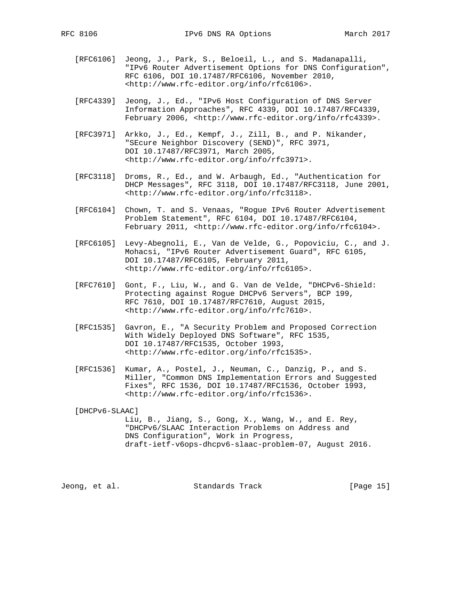- [RFC6106] Jeong, J., Park, S., Beloeil, L., and S. Madanapalli, "IPv6 Router Advertisement Options for DNS Configuration", RFC 6106, DOI 10.17487/RFC6106, November 2010, <http://www.rfc-editor.org/info/rfc6106>.
- [RFC4339] Jeong, J., Ed., "IPv6 Host Configuration of DNS Server Information Approaches", RFC 4339, DOI 10.17487/RFC4339, February 2006, <http://www.rfc-editor.org/info/rfc4339>.
- [RFC3971] Arkko, J., Ed., Kempf, J., Zill, B., and P. Nikander, "SEcure Neighbor Discovery (SEND)", RFC 3971, DOI 10.17487/RFC3971, March 2005, <http://www.rfc-editor.org/info/rfc3971>.
- [RFC3118] Droms, R., Ed., and W. Arbaugh, Ed., "Authentication for DHCP Messages", RFC 3118, DOI 10.17487/RFC3118, June 2001, <http://www.rfc-editor.org/info/rfc3118>.
- [RFC6104] Chown, T. and S. Venaas, "Rogue IPv6 Router Advertisement Problem Statement", RFC 6104, DOI 10.17487/RFC6104, February 2011, <http://www.rfc-editor.org/info/rfc6104>.
- [RFC6105] Levy-Abegnoli, E., Van de Velde, G., Popoviciu, C., and J. Mohacsi, "IPv6 Router Advertisement Guard", RFC 6105, DOI 10.17487/RFC6105, February 2011, <http://www.rfc-editor.org/info/rfc6105>.
- [RFC7610] Gont, F., Liu, W., and G. Van de Velde, "DHCPv6-Shield: Protecting against Rogue DHCPv6 Servers", BCP 199, RFC 7610, DOI 10.17487/RFC7610, August 2015, <http://www.rfc-editor.org/info/rfc7610>.
- [RFC1535] Gavron, E., "A Security Problem and Proposed Correction With Widely Deployed DNS Software", RFC 1535, DOI 10.17487/RFC1535, October 1993, <http://www.rfc-editor.org/info/rfc1535>.
- [RFC1536] Kumar, A., Postel, J., Neuman, C., Danzig, P., and S. Miller, "Common DNS Implementation Errors and Suggested Fixes", RFC 1536, DOI 10.17487/RFC1536, October 1993, <http://www.rfc-editor.org/info/rfc1536>.

[DHCPv6-SLAAC]

 Liu, B., Jiang, S., Gong, X., Wang, W., and E. Rey, "DHCPv6/SLAAC Interaction Problems on Address and DNS Configuration", Work in Progress, draft-ietf-v6ops-dhcpv6-slaac-problem-07, August 2016.

Jeong, et al. Standards Track [Page 15]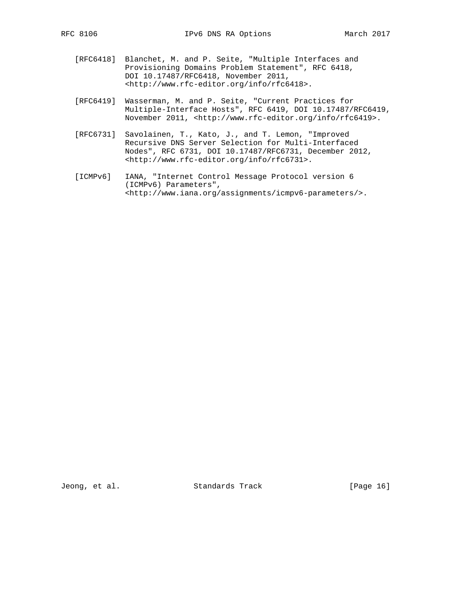- [RFC6418] Blanchet, M. and P. Seite, "Multiple Interfaces and Provisioning Domains Problem Statement", RFC 6418, DOI 10.17487/RFC6418, November 2011, <http://www.rfc-editor.org/info/rfc6418>.
- [RFC6419] Wasserman, M. and P. Seite, "Current Practices for Multiple-Interface Hosts", RFC 6419, DOI 10.17487/RFC6419, November 2011, <http://www.rfc-editor.org/info/rfc6419>.
- [RFC6731] Savolainen, T., Kato, J., and T. Lemon, "Improved Recursive DNS Server Selection for Multi-Interfaced Nodes", RFC 6731, DOI 10.17487/RFC6731, December 2012, <http://www.rfc-editor.org/info/rfc6731>.
- [ICMPv6] IANA, "Internet Control Message Protocol version 6 (ICMPv6) Parameters", <http://www.iana.org/assignments/icmpv6-parameters/>.

Jeong, et al. Standards Track [Page 16]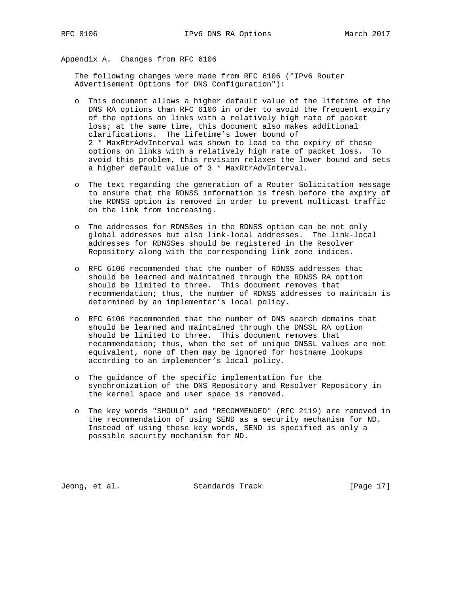Appendix A. Changes from RFC 6106

 The following changes were made from RFC 6106 ("IPv6 Router Advertisement Options for DNS Configuration"):

- o This document allows a higher default value of the lifetime of the DNS RA options than RFC 6106 in order to avoid the frequent expiry of the options on links with a relatively high rate of packet loss; at the same time, this document also makes additional clarifications. The lifetime's lower bound of 2 \* MaxRtrAdvInterval was shown to lead to the expiry of these options on links with a relatively high rate of packet loss. To avoid this problem, this revision relaxes the lower bound and sets a higher default value of 3 \* MaxRtrAdvInterval.
- o The text regarding the generation of a Router Solicitation message to ensure that the RDNSS information is fresh before the expiry of the RDNSS option is removed in order to prevent multicast traffic on the link from increasing.
- o The addresses for RDNSSes in the RDNSS option can be not only global addresses but also link-local addresses. The link-local addresses for RDNSSes should be registered in the Resolver Repository along with the corresponding link zone indices.
- o RFC 6106 recommended that the number of RDNSS addresses that should be learned and maintained through the RDNSS RA option should be limited to three. This document removes that recommendation; thus, the number of RDNSS addresses to maintain is determined by an implementer's local policy.
- o RFC 6106 recommended that the number of DNS search domains that should be learned and maintained through the DNSSL RA option should be limited to three. This document removes that recommendation; thus, when the set of unique DNSSL values are not equivalent, none of them may be ignored for hostname lookups according to an implementer's local policy.
- o The guidance of the specific implementation for the synchronization of the DNS Repository and Resolver Repository in the kernel space and user space is removed.
- o The key words "SHOULD" and "RECOMMENDED" (RFC 2119) are removed in the recommendation of using SEND as a security mechanism for ND. Instead of using these key words, SEND is specified as only a possible security mechanism for ND.

Jeong, et al. Standards Track [Page 17]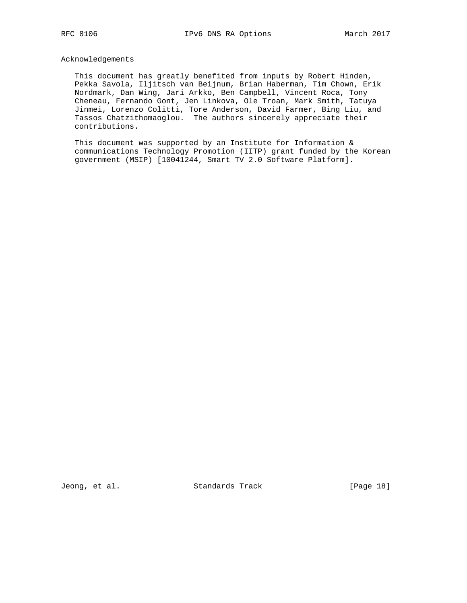#### Acknowledgements

 This document has greatly benefited from inputs by Robert Hinden, Pekka Savola, Iljitsch van Beijnum, Brian Haberman, Tim Chown, Erik Nordmark, Dan Wing, Jari Arkko, Ben Campbell, Vincent Roca, Tony Cheneau, Fernando Gont, Jen Linkova, Ole Troan, Mark Smith, Tatuya Jinmei, Lorenzo Colitti, Tore Anderson, David Farmer, Bing Liu, and Tassos Chatzithomaoglou. The authors sincerely appreciate their contributions.

This document was supported by an Institute for Information & communications Technology Promotion (IITP) grant funded by the Korean government (MSIP) [10041244, Smart TV 2.0 Software Platform].

Jeong, et al. Standards Track [Page 18]